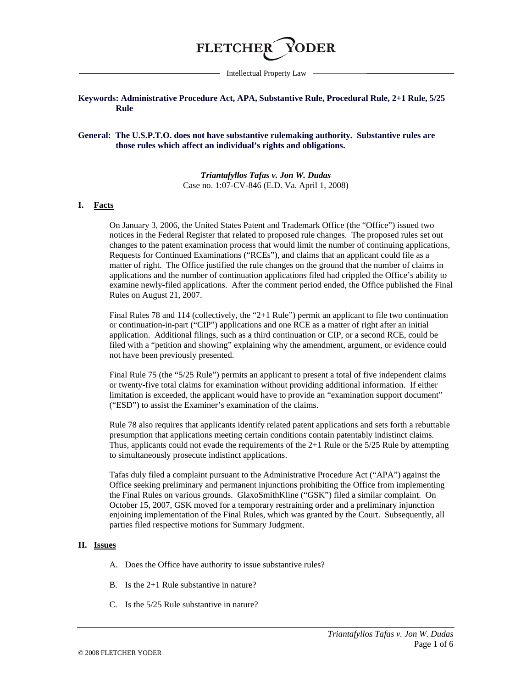

Intellectual Property Law

### **Keywords: Administrative Procedure Act, APA, Substantive Rule, Procedural Rule, 2+1 Rule, 5/25 Rule**

#### **General: The U.S.P.T.O. does not have substantive rulemaking authority. Substantive rules are those rules which affect an individual's rights and obligations.**

*Triantafyllos Tafas v. Jon W. Dudas* Case no. 1:07-CV-846 (E.D. Va. April 1, 2008)

### **I. Facts**

On January 3, 2006, the United States Patent and Trademark Office (the "Office") issued two notices in the Federal Register that related to proposed rule changes. The proposed rules set out changes to the patent examination process that would limit the number of continuing applications, Requests for Continued Examinations ("RCEs"), and claims that an applicant could file as a matter of right. The Office justified the rule changes on the ground that the number of claims in applications and the number of continuation applications filed had crippled the Office's ability to examine newly-filed applications. After the comment period ended, the Office published the Final Rules on August 21, 2007.

Final Rules 78 and 114 (collectively, the "2+1 Rule") permit an applicant to file two continuation or continuation-in-part ("CIP") applications and one RCE as a matter of right after an initial application. Additional filings, such as a third continuation or CIP, or a second RCE, could be filed with a "petition and showing" explaining why the amendment, argument, or evidence could not have been previously presented.

Final Rule 75 (the "5/25 Rule") permits an applicant to present a total of five independent claims or twenty-five total claims for examination without providing additional information. If either limitation is exceeded, the applicant would have to provide an "examination support document" ("ESD") to assist the Examiner's examination of the claims.

Rule 78 also requires that applicants identify related patent applications and sets forth a rebuttable presumption that applications meeting certain conditions contain patentably indistinct claims. Thus, applicants could not evade the requirements of the 2+1 Rule or the 5/25 Rule by attempting to simultaneously prosecute indistinct applications.

Tafas duly filed a complaint pursuant to the Administrative Procedure Act ("APA") against the Office seeking preliminary and permanent injunctions prohibiting the Office from implementing the Final Rules on various grounds. GlaxoSmithKline ("GSK") filed a similar complaint. On October 15, 2007, GSK moved for a temporary restraining order and a preliminary injunction enjoining implementation of the Final Rules, which was granted by the Court. Subsequently, all parties filed respective motions for Summary Judgment.

#### **II. Issues**

- A. Does the Office have authority to issue substantive rules?
- B. Is the 2+1 Rule substantive in nature?
- C. Is the 5/25 Rule substantive in nature?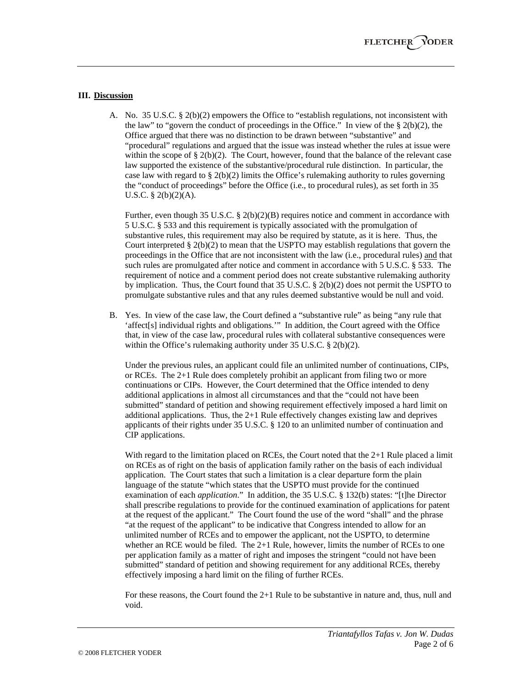### **III. Discussion**

A. No. 35 U.S.C. § 2(b)(2) empowers the Office to "establish regulations, not inconsistent with the law" to "govern the conduct of proceedings in the Office." In view of the  $\S 2(b)(2)$ , the Office argued that there was no distinction to be drawn between "substantive" and "procedural" regulations and argued that the issue was instead whether the rules at issue were within the scope of  $\S 2(b)(2)$ . The Court, however, found that the balance of the relevant case law supported the existence of the substantive/procedural rule distinction. In particular, the case law with regard to  $\S$  2(b)(2) limits the Office's rulemaking authority to rules governing the "conduct of proceedings" before the Office (i.e., to procedural rules), as set forth in 35 U.S.C. § 2(b)(2)(A).

Further, even though 35 U.S.C. §  $2(b)(2)(B)$  requires notice and comment in accordance with 5 U.S.C. § 533 and this requirement is typically associated with the promulgation of substantive rules, this requirement may also be required by statute, as it is here. Thus, the Court interpreted  $\S 2(b)(2)$  to mean that the USPTO may establish regulations that govern the proceedings in the Office that are not inconsistent with the law (i.e., procedural rules) and that such rules are promulgated after notice and comment in accordance with 5 U.S.C. § 533. The requirement of notice and a comment period does not create substantive rulemaking authority by implication. Thus, the Court found that 35 U.S.C. § 2(b)(2) does not permit the USPTO to promulgate substantive rules and that any rules deemed substantive would be null and void.

B. Yes. In view of the case law, the Court defined a "substantive rule" as being "any rule that 'affect[s] individual rights and obligations.'" In addition, the Court agreed with the Office that, in view of the case law, procedural rules with collateral substantive consequences were within the Office's rulemaking authority under 35 U.S.C. § 2(b)(2).

Under the previous rules, an applicant could file an unlimited number of continuations, CIPs, or RCEs. The 2+1 Rule does completely prohibit an applicant from filing two or more continuations or CIPs. However, the Court determined that the Office intended to deny additional applications in almost all circumstances and that the "could not have been submitted" standard of petition and showing requirement effectively imposed a hard limit on additional applications. Thus, the  $2+1$  Rule effectively changes existing law and deprives applicants of their rights under 35 U.S.C. § 120 to an unlimited number of continuation and CIP applications.

With regard to the limitation placed on RCEs, the Court noted that the  $2+1$  Rule placed a limit on RCEs as of right on the basis of application family rather on the basis of each individual application. The Court states that such a limitation is a clear departure form the plain language of the statute "which states that the USPTO must provide for the continued examination of each *application*." In addition, the 35 U.S.C. § 132(b) states: "[t]he Director shall prescribe regulations to provide for the continued examination of applications for patent at the request of the applicant." The Court found the use of the word "shall" and the phrase "at the request of the applicant" to be indicative that Congress intended to allow for an unlimited number of RCEs and to empower the applicant, not the USPTO, to determine whether an RCE would be filed. The 2+1 Rule, however, limits the number of RCEs to one per application family as a matter of right and imposes the stringent "could not have been submitted" standard of petition and showing requirement for any additional RCEs, thereby effectively imposing a hard limit on the filing of further RCEs.

For these reasons, the Court found the 2+1 Rule to be substantive in nature and, thus, null and void.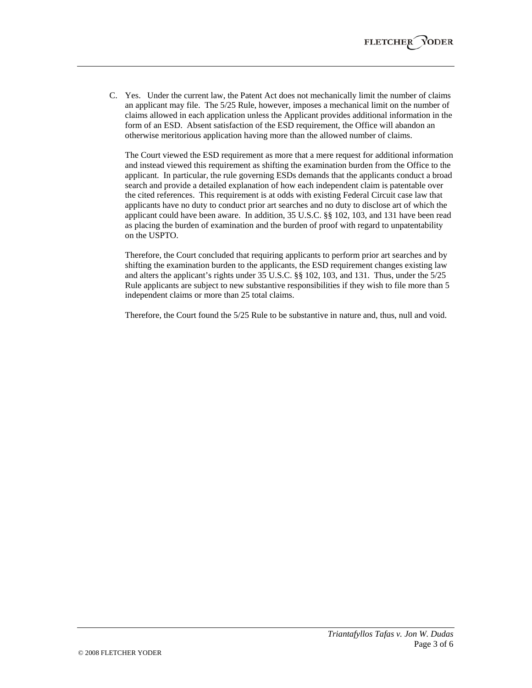C. Yes. Under the current law, the Patent Act does not mechanically limit the number of claims an applicant may file. The 5/25 Rule, however, imposes a mechanical limit on the number of claims allowed in each application unless the Applicant provides additional information in the form of an ESD. Absent satisfaction of the ESD requirement, the Office will abandon an otherwise meritorious application having more than the allowed number of claims.

The Court viewed the ESD requirement as more that a mere request for additional information and instead viewed this requirement as shifting the examination burden from the Office to the applicant. In particular, the rule governing ESDs demands that the applicants conduct a broad search and provide a detailed explanation of how each independent claim is patentable over the cited references. This requirement is at odds with existing Federal Circuit case law that applicants have no duty to conduct prior art searches and no duty to disclose art of which the applicant could have been aware. In addition, 35 U.S.C. §§ 102, 103, and 131 have been read as placing the burden of examination and the burden of proof with regard to unpatentability on the USPTO.

Therefore, the Court concluded that requiring applicants to perform prior art searches and by shifting the examination burden to the applicants, the ESD requirement changes existing law and alters the applicant's rights under 35 U.S.C. §§ 102, 103, and 131. Thus, under the 5/25 Rule applicants are subject to new substantive responsibilities if they wish to file more than 5 independent claims or more than 25 total claims.

Therefore, the Court found the 5/25 Rule to be substantive in nature and, thus, null and void.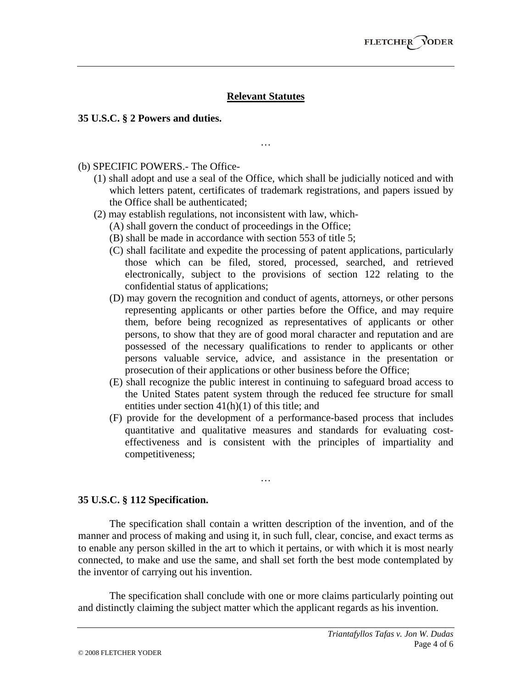# **Relevant Statutes**

…

### **35 U.S.C. § 2 Powers and duties.**

(b) SPECIFIC POWERS.- The Office-

- (1) shall adopt and use a seal of the Office, which shall be judicially noticed and with which letters patent, certificates of trademark registrations, and papers issued by the Office shall be authenticated;
- (2) may establish regulations, not inconsistent with law, which-
	- (A) shall govern the conduct of proceedings in the Office;
	- (B) shall be made in accordance with section 553 of title 5;
	- (C) shall facilitate and expedite the processing of patent applications, particularly those which can be filed, stored, processed, searched, and retrieved electronically, subject to the provisions of section 122 relating to the confidential status of applications;
	- (D) may govern the recognition and conduct of agents, attorneys, or other persons representing applicants or other parties before the Office, and may require them, before being recognized as representatives of applicants or other persons, to show that they are of good moral character and reputation and are possessed of the necessary qualifications to render to applicants or other persons valuable service, advice, and assistance in the presentation or prosecution of their applications or other business before the Office;
	- (E) shall recognize the public interest in continuing to safeguard broad access to the United States patent system through the reduced fee structure for small entities under section  $41(h)(1)$  of this title; and
	- (F) provide for the development of a performance-based process that includes quantitative and qualitative measures and standards for evaluating costeffectiveness and is consistent with the principles of impartiality and competitiveness;

### **35 U.S.C. § 112 Specification.**

The specification shall contain a written description of the invention, and of the manner and process of making and using it, in such full, clear, concise, and exact terms as to enable any person skilled in the art to which it pertains, or with which it is most nearly connected, to make and use the same, and shall set forth the best mode contemplated by the inventor of carrying out his invention.

…

The specification shall conclude with one or more claims particularly pointing out and distinctly claiming the subject matter which the applicant regards as his invention.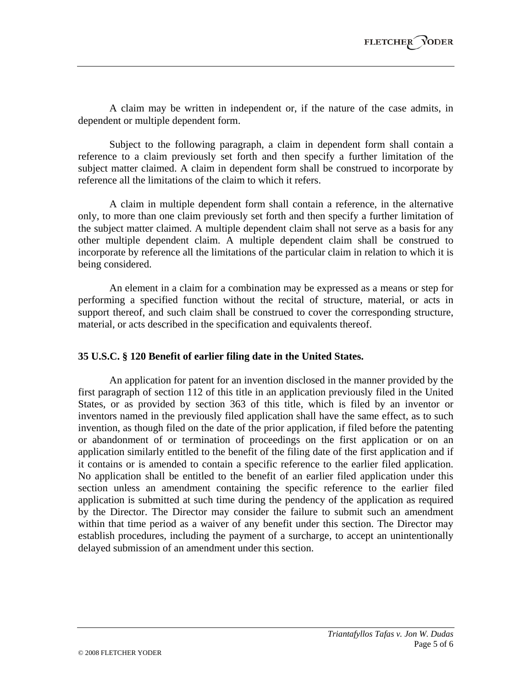A claim may be written in independent or, if the nature of the case admits, in dependent or multiple dependent form.

Subject to the following paragraph, a claim in dependent form shall contain a reference to a claim previously set forth and then specify a further limitation of the subject matter claimed. A claim in dependent form shall be construed to incorporate by reference all the limitations of the claim to which it refers.

A claim in multiple dependent form shall contain a reference, in the alternative only, to more than one claim previously set forth and then specify a further limitation of the subject matter claimed. A multiple dependent claim shall not serve as a basis for any other multiple dependent claim. A multiple dependent claim shall be construed to incorporate by reference all the limitations of the particular claim in relation to which it is being considered.

An element in a claim for a combination may be expressed as a means or step for performing a specified function without the recital of structure, material, or acts in support thereof, and such claim shall be construed to cover the corresponding structure, material, or acts described in the specification and equivalents thereof.

## **35 U.S.C. § 120 Benefit of earlier filing date in the United States.**

An application for patent for an invention disclosed in the manner provided by the first paragraph of section 112 of this title in an application previously filed in the United States, or as provided by section 363 of this title, which is filed by an inventor or inventors named in the previously filed application shall have the same effect, as to such invention, as though filed on the date of the prior application, if filed before the patenting or abandonment of or termination of proceedings on the first application or on an application similarly entitled to the benefit of the filing date of the first application and if it contains or is amended to contain a specific reference to the earlier filed application. No application shall be entitled to the benefit of an earlier filed application under this section unless an amendment containing the specific reference to the earlier filed application is submitted at such time during the pendency of the application as required by the Director. The Director may consider the failure to submit such an amendment within that time period as a waiver of any benefit under this section. The Director may establish procedures, including the payment of a surcharge, to accept an unintentionally delayed submission of an amendment under this section.